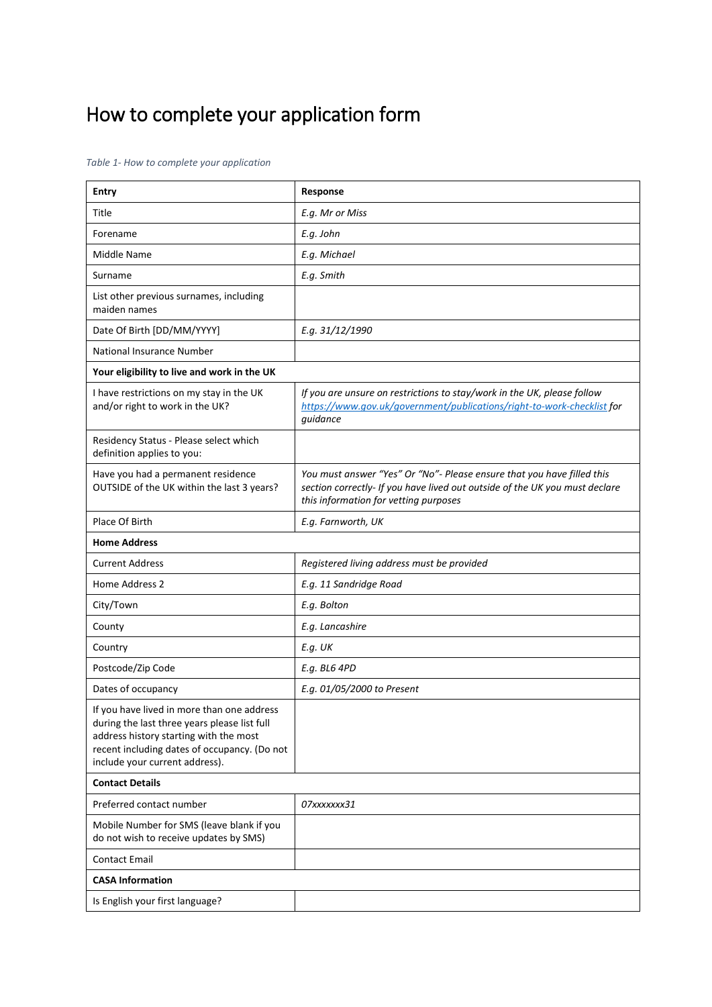## How to complete your application form

*Table 1- How to complete your application*

| <b>Entry</b>                                                                                                                                                                                                           | Response                                                                                                                                                                                       |  |
|------------------------------------------------------------------------------------------------------------------------------------------------------------------------------------------------------------------------|------------------------------------------------------------------------------------------------------------------------------------------------------------------------------------------------|--|
| Title                                                                                                                                                                                                                  | E.g. Mr or Miss                                                                                                                                                                                |  |
| Forename                                                                                                                                                                                                               | E.g. John                                                                                                                                                                                      |  |
| Middle Name                                                                                                                                                                                                            | E.g. Michael                                                                                                                                                                                   |  |
| Surname                                                                                                                                                                                                                | E.g. Smith                                                                                                                                                                                     |  |
| List other previous surnames, including<br>maiden names                                                                                                                                                                |                                                                                                                                                                                                |  |
| Date Of Birth [DD/MM/YYYY]                                                                                                                                                                                             | E.g. 31/12/1990                                                                                                                                                                                |  |
| National Insurance Number                                                                                                                                                                                              |                                                                                                                                                                                                |  |
| Your eligibility to live and work in the UK                                                                                                                                                                            |                                                                                                                                                                                                |  |
| I have restrictions on my stay in the UK<br>and/or right to work in the UK?                                                                                                                                            | If you are unsure on restrictions to stay/work in the UK, please follow<br>https://www.gov.uk/government/publications/right-to-work-checklist for<br>quidance                                  |  |
| Residency Status - Please select which<br>definition applies to you:                                                                                                                                                   |                                                                                                                                                                                                |  |
| Have you had a permanent residence<br>OUTSIDE of the UK within the last 3 years?                                                                                                                                       | You must answer "Yes" Or "No"- Please ensure that you have filled this<br>section correctly- If you have lived out outside of the UK you must declare<br>this information for vetting purposes |  |
| Place Of Birth                                                                                                                                                                                                         | E.g. Farnworth, UK                                                                                                                                                                             |  |
| <b>Home Address</b>                                                                                                                                                                                                    |                                                                                                                                                                                                |  |
| <b>Current Address</b>                                                                                                                                                                                                 | Registered living address must be provided                                                                                                                                                     |  |
| Home Address 2                                                                                                                                                                                                         | E.g. 11 Sandridge Road                                                                                                                                                                         |  |
| City/Town                                                                                                                                                                                                              | E.g. Bolton                                                                                                                                                                                    |  |
| County                                                                                                                                                                                                                 | E.g. Lancashire                                                                                                                                                                                |  |
| Country                                                                                                                                                                                                                | $E.q.$ UK                                                                                                                                                                                      |  |
| Postcode/Zip Code                                                                                                                                                                                                      | E.g. BL6 4PD                                                                                                                                                                                   |  |
| Dates of occupancy                                                                                                                                                                                                     | E.g. 01/05/2000 to Present                                                                                                                                                                     |  |
| If you have lived in more than one address<br>during the last three years please list full<br>address history starting with the most<br>recent including dates of occupancy. (Do not<br>include your current address). |                                                                                                                                                                                                |  |
| <b>Contact Details</b>                                                                                                                                                                                                 |                                                                                                                                                                                                |  |
| Preferred contact number                                                                                                                                                                                               | 07xxxxxxx31                                                                                                                                                                                    |  |
| Mobile Number for SMS (leave blank if you<br>do not wish to receive updates by SMS)                                                                                                                                    |                                                                                                                                                                                                |  |
| <b>Contact Email</b>                                                                                                                                                                                                   |                                                                                                                                                                                                |  |
| <b>CASA Information</b>                                                                                                                                                                                                |                                                                                                                                                                                                |  |
| Is English your first language?                                                                                                                                                                                        |                                                                                                                                                                                                |  |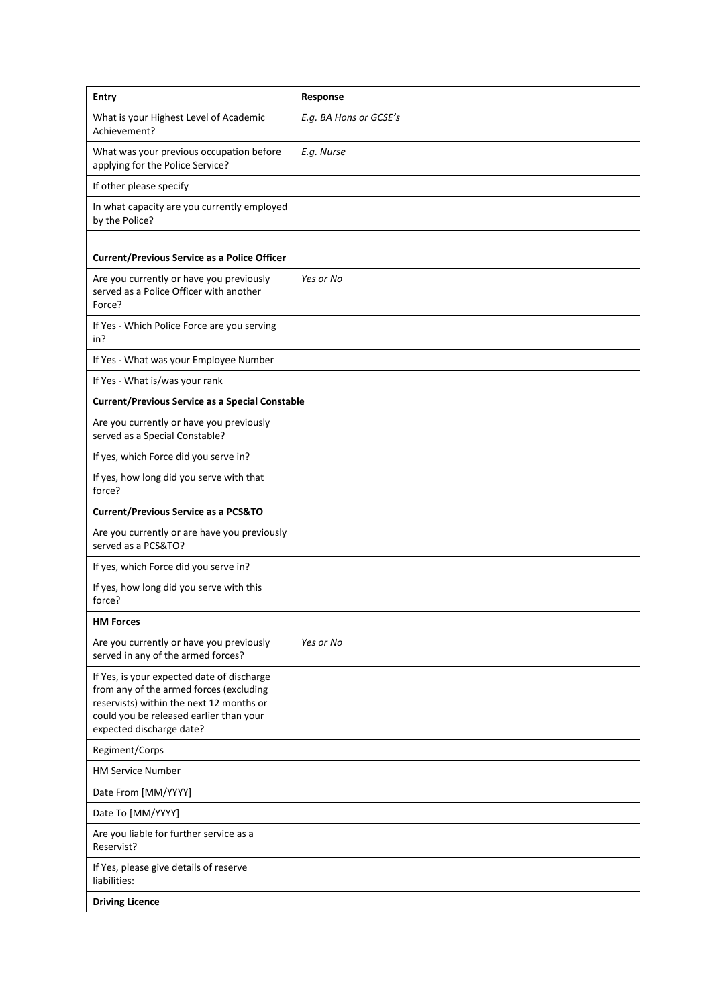| <b>Entry</b>                                                                                                                                                                                             | Response               |  |
|----------------------------------------------------------------------------------------------------------------------------------------------------------------------------------------------------------|------------------------|--|
| What is your Highest Level of Academic<br>Achievement?                                                                                                                                                   | E.g. BA Hons or GCSE's |  |
| What was your previous occupation before<br>applying for the Police Service?                                                                                                                             | E.g. Nurse             |  |
| If other please specify                                                                                                                                                                                  |                        |  |
| In what capacity are you currently employed<br>by the Police?                                                                                                                                            |                        |  |
| <b>Current/Previous Service as a Police Officer</b>                                                                                                                                                      |                        |  |
| Are you currently or have you previously<br>served as a Police Officer with another<br>Force?                                                                                                            | Yes or No              |  |
| If Yes - Which Police Force are you serving<br>in?                                                                                                                                                       |                        |  |
| If Yes - What was your Employee Number                                                                                                                                                                   |                        |  |
| If Yes - What is/was your rank                                                                                                                                                                           |                        |  |
| <b>Current/Previous Service as a Special Constable</b>                                                                                                                                                   |                        |  |
| Are you currently or have you previously<br>served as a Special Constable?                                                                                                                               |                        |  |
| If yes, which Force did you serve in?                                                                                                                                                                    |                        |  |
| If yes, how long did you serve with that<br>force?                                                                                                                                                       |                        |  |
| <b>Current/Previous Service as a PCS&amp;TO</b>                                                                                                                                                          |                        |  |
| Are you currently or are have you previously<br>served as a PCS&TO?                                                                                                                                      |                        |  |
| If yes, which Force did you serve in?                                                                                                                                                                    |                        |  |
| If yes, how long did you serve with this<br>force?                                                                                                                                                       |                        |  |
| <b>HM Forces</b>                                                                                                                                                                                         |                        |  |
| Are you currently or have you previously<br>served in any of the armed forces?                                                                                                                           | Yes or No              |  |
| If Yes, is your expected date of discharge<br>from any of the armed forces (excluding<br>reservists) within the next 12 months or<br>could you be released earlier than your<br>expected discharge date? |                        |  |
| Regiment/Corps                                                                                                                                                                                           |                        |  |
| <b>HM Service Number</b>                                                                                                                                                                                 |                        |  |
| Date From [MM/YYYY]                                                                                                                                                                                      |                        |  |
| Date To [MM/YYYY]                                                                                                                                                                                        |                        |  |
| Are you liable for further service as a<br>Reservist?                                                                                                                                                    |                        |  |
| If Yes, please give details of reserve<br>liabilities:                                                                                                                                                   |                        |  |
| <b>Driving Licence</b>                                                                                                                                                                                   |                        |  |